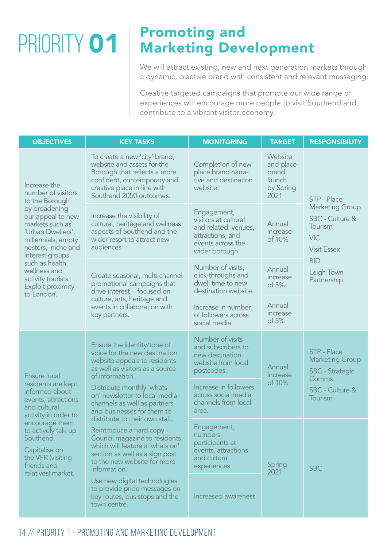## PRIORITY 01

## Promoting and Marketing Development

We will attract existing, new and next generation markets through a dynamic, creative brand with consistent and relevant messaging.

Creative targeted campaigns that promote our wide range of experiences will encourage more people to visit Southend and contribute to a vibrant visitor economy.

| <b>OBJECTIVES</b>                                                                                                                                                                                                                                                                             | <b>KEY TASKS</b>                                                                                                                                                                                                                                                                                                                                                                                                                                                                                 | <b>MONITORING</b>                                                                                                    | <b>TARGET</b>                                                | <b>RESPONSIBILITY</b>                                                                                                                       |
|-----------------------------------------------------------------------------------------------------------------------------------------------------------------------------------------------------------------------------------------------------------------------------------------------|--------------------------------------------------------------------------------------------------------------------------------------------------------------------------------------------------------------------------------------------------------------------------------------------------------------------------------------------------------------------------------------------------------------------------------------------------------------------------------------------------|----------------------------------------------------------------------------------------------------------------------|--------------------------------------------------------------|---------------------------------------------------------------------------------------------------------------------------------------------|
| Increase the<br>number of visitors<br>to the Borough<br>by broadening<br>our appeal to new<br>markets such as<br>'Urban Dwellers',<br>millennials, empty<br>nesters, niche and<br>interest groups<br>such as health,<br>wellness and<br>activity tourists.<br>Exploit proximity<br>to London. | To create a new 'city' brand,<br>website and assets for the<br>Borough that reflects a more<br>confident, contemporary and<br>creative place in line with<br>Southend 2050 outcomes.                                                                                                                                                                                                                                                                                                             | Completion of new<br>place brand narra-<br>tive and destination<br>website.                                          | Website<br>and place<br>brand<br>launch<br>by Spring<br>2021 | STP - Place<br><b>Marketing Group</b><br>SBC - Culture &<br>Tourism<br>VIC<br><b>Visit Essex</b><br><b>BID</b><br>Leigh Town<br>Partnership |
|                                                                                                                                                                                                                                                                                               | Increase the visibility of<br>cultural, heritage and wellness<br>aspects of Southend and the<br>wider resort to attract new<br>audiences                                                                                                                                                                                                                                                                                                                                                         | Engagement,<br>visitors at cultural<br>and related venues,<br>attractions, and<br>events across the<br>wider borough | Annual<br>increase<br>of 10%                                 |                                                                                                                                             |
|                                                                                                                                                                                                                                                                                               | Create seasonal, multi-channel<br>promotional campaigns that<br>drive interest - focused on<br>culture, arts, heritage and<br>events in collaboration with<br>key partners.                                                                                                                                                                                                                                                                                                                      | Number of visits,<br>click-throughs and<br>dwell time to new<br>destination website.                                 | Annual<br>increase<br>of 5%                                  |                                                                                                                                             |
|                                                                                                                                                                                                                                                                                               |                                                                                                                                                                                                                                                                                                                                                                                                                                                                                                  | Increase in number<br>of followers across<br>social media.                                                           | Annual<br>increase<br>of 5%                                  |                                                                                                                                             |
| Ensure local<br>residents are kept<br>informed about<br>events, attractions<br>and cultural<br>activity in order to<br>encourage them<br>to actively talk up<br>Southend.<br>Capitalise on<br>the VFR (visiting<br>friends and<br>relatives) market.                                          | Ensure the identity/tone of<br>voice for the new destination<br>website appeals to residents<br>as well as visitors as a source<br>of information.<br>Distribute monthly 'whats<br>on' newsletter to local media<br>channels as well as partners<br>and businesses for them to<br>distribute to their own staff.<br>Reintroduce a hard copy<br>Council magazine to residents<br>which will feature a 'whats on'<br>section as well as a sign post<br>to the new website for more<br>information. | Number of visits<br>and subscribers to<br>new destination<br>website from local<br>postcodes.                        | Annual<br>increase<br>of 10%                                 | STP - Place<br><b>Marketing Group</b><br><b>SBC</b> - Strategic<br>Comms<br>SBC - Culture &<br>Tourism                                      |
|                                                                                                                                                                                                                                                                                               |                                                                                                                                                                                                                                                                                                                                                                                                                                                                                                  | Increase in followers<br>across social media<br>channels from local<br>area.                                         |                                                              |                                                                                                                                             |
|                                                                                                                                                                                                                                                                                               |                                                                                                                                                                                                                                                                                                                                                                                                                                                                                                  | Engagement,<br>numbers<br>participants at<br>events, attractions<br>and cultural<br>experiences                      | Spring<br>2021                                               | <b>SBC</b>                                                                                                                                  |
|                                                                                                                                                                                                                                                                                               | Use new digital technologies<br>to provide pride messages on<br>key routes, bus stops and the<br>town centre.                                                                                                                                                                                                                                                                                                                                                                                    | Increased awareness                                                                                                  |                                                              |                                                                                                                                             |